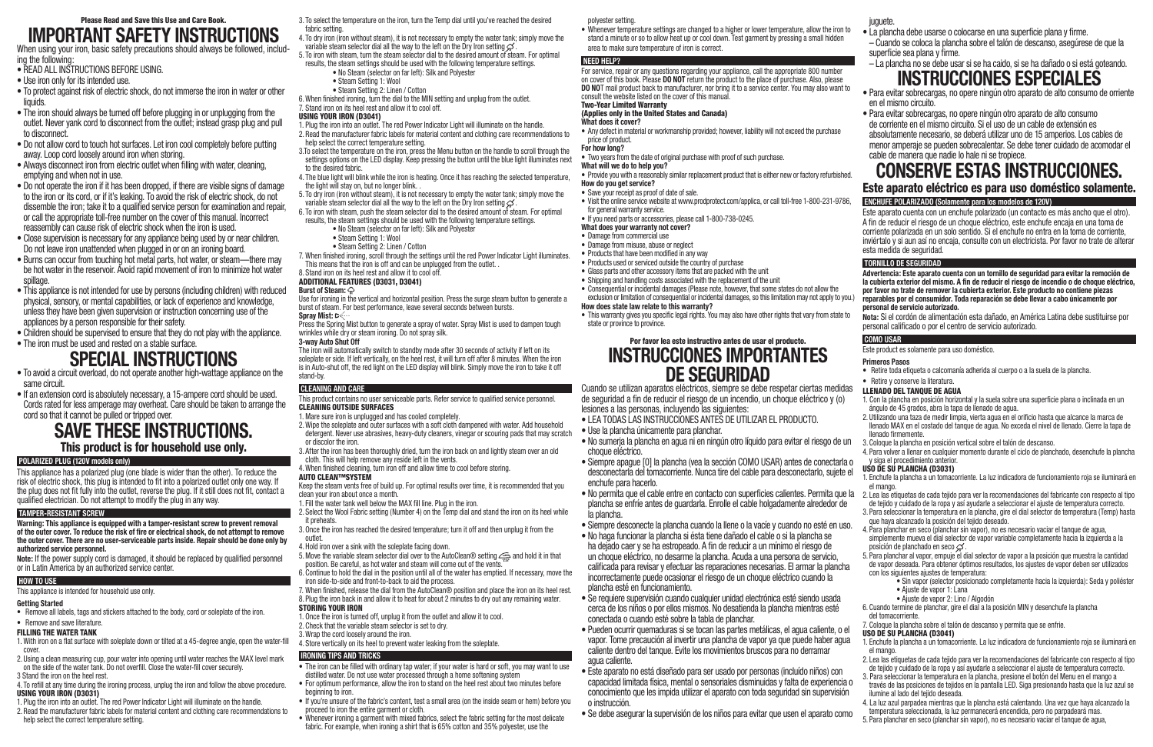- 3. To select the temperature on the iron, turn the Temp dial until you've reached the desired fabric setting.
- 4. To dry iron (iron without steam), it is not necessary to empty the water tank; simply move the variable steam selector dial all the way to the left on the Dry Iron setting  $\mathcal{G}$
- 5. To iron with steam, turn the steam selector dial to the desired amount of steam. For optimal results, the steam settings should be used with the following temperature settings.
	- No Steam (selector on far left): Silk and Polyester
	- Steam Setting 1: Wool
	- Steam Setting 2: Linen / Cotton
- 6. When finished ironing, turn the dial to the MIN setting and unplug from the outlet.

# 7. Stand iron on its heel rest and allow it to cool off.

- USING YOUR IRON (D3041) 1. Plug the iron into an outlet. The red Power Indicator Light will illuminate on the handle.
- 2. Read the manufacturer fabric labels for material content and clothing care recommendations to help select the correct temperature setting.
- 3.To select the temperature on the iron, press the Menu button on the handle to scroll through the settings options on the LED display. Keep pressing the button until the blue light illuminates next to the desired fabric.
- 4. The blue light will blink while the iron is heating. Once it has reaching the selected temperature, the light will stay on, but no longer blink. .
- 5. To dry iron (iron without steam), it is not necessary to empty the water tank; simply move the variable steam selector dial all the way to the left on the Dry Iron setting  $\varphi$
- 6. To iron with steam, push the steam selector dial to the desired amount of steam. For optimal results, the steam settings should be used with the following temperature settings.
	- No Steam (selector on far left): Silk and Polyester
	- Steam Setting 1: Wool
	- Steam Setting 2: Linen / Cotton
- 7. When finished ironing, scroll through the settings until the red Power Indicator Light illuminates. This means that the iron is off and can be unplugged from the outlet. .
- 8. Stand iron on its heel rest and allow it to cool off.

# ADDITIONAL FEATURES (D3031, D3041)

#### **Burst of Steam:**

Use for ironing in the vertical and horizontal position. Press the surge steam button to generate a burst of steam. For best performance, leave several seconds between bursts.

# **Spray Mist:**

Press the Spring Mist button to generate a spray of water. Spray Mist is used to dampen tough wrinkles while dry or steam ironing. Do not spray silk.

#### **3-way Auto Shut Off**

The iron will automatically switch to standby mode after 30 seconds of activity if left on its soleplate or side. If left vertically, on the heel rest, it will turn off after 8 minutes. When the iron is in Auto-shut off, the red light on the LED display will blink. Simply move the iron to take it off stand-by.

When using your iron, basic safety precautions should always be followed, including the following:

# **CLEANING AND CARE**

#### This product contains no user serviceable parts. Refer service to qualified service personnel. CLEANING OUTSIDE SURFACES

- 1. Mare sure iron is unplugged and has cooled completely.
- 2. Wipe the soleplate and outer surfaces with a soft cloth dampened with water. Add household detergent. Never use abrasives, heavy-duty cleaners, vinegar or scouring pads that may scratch or discolor the iron.
- 3. After the iron has been thoroughly dried, turn the iron back on and lightly steam over an old cloth. This will help remove any reside left in the vents.
- 4. When finished cleaning, turn iron off and allow time to cool before storing.

# AUTO CLEAN™SYSTEM

Keep the steam vents free of build up. For optimal results over time, it is recommended that you clean your iron about once a month.

- 1. Fill the water tank well below the MAX fill line. Plug in the iron.
- 2. Select the Wool Fabric setting (Number 4) on the Temp dial and stand the iron on its heel while it preheats.
- 3. Once the iron has reached the desired temperature; turn it off and then unplug it from the outlet.
- 4. Hold iron over a sink with the soleplate facing down.
- 5. Move the variable steam selector dial over to the AutoClean® setting  $\oplus$  and hold it in that position. Be careful, as hot water and steam will come out of the vents.
- 6. Continue to hold the dial in the position until all of the water has emptied. If necessary, move the iron side-to-side and front-to-back to aid the process.
- 7. When finished, release the dial from the AutoClean® position and place the iron on its heel rest. 8. Plug the iron back in and allow it to heat for about 2 minutes to dry out any remaining water.

# STORING YOUR IRON

- 1. Once the iron is turned off, unplug it from the outlet and allow it to cool.
- 2. Check that the variable steam selector is set to dry.
- 3. Wrap the cord loosely around the iron.
- 4. Store vertically on its heel to prevent water leaking from the soleplate.

# **IRONING TIPS AND TRICKS**

- The iron can be filled with ordinary tap water; if your water is hard or soft, you may want to use distilled water. Do not use water processed through a home softening system
- For optimum performance, allow the iron to stand on the heel rest about two minutes before beginning to iron.
- If you're unsure of the fabric's content, test a small area (on the inside seam or hem) before you proceed to iron the entire garment or cloth.
- Whenever ironing a garment with mixed fabrics, select the fabric setting for the most delicate fabric. For example, when ironing a shirt that is 65% cotton and 35% polyester, use the

**What does your warranty not cover?** • Damage from commercial use • Damage from misuse, abuse or neglect • Products that have been modified in any way juguete

# Please Read and Save this Use and Care Book. **IMPORTANT SAFETY INSTRUCTIONS**

- READ ALL INSTRUCTIONS BEFORE USING.
- Use iron only for its intended use.
- To protect against risk of electric shock, do not immerse the iron in water or other liquids.
- The iron should always be turned off before plugging in or unplugging from the outlet. Never yank cord to disconnect from the outlet; instead grasp plug and pull to disconnect.
- Do not allow cord to touch hot surfaces. Let iron cool completely before putting away. Loop cord loosely around iron when storing.
- Always disconnect iron from electric outlet when filling with water, cleaning, emptying and when not in use.
- Do not operate the iron if it has been dropped, if there are visible signs of damage to the iron or its cord, or if it's leaking. To avoid the risk of electric shock, do not dissemble the iron; take it to a qualified service person for examination and repair, or call the appropriate toll-free number on the cover of this manual. Incorrect reassembly can cause risk of electric shock when the iron is used.
- Close supervision is necessary for any appliance being used by or near children. Do not leave iron unattended when plugged in or on an ironing board.
- Burns can occur from touching hot metal parts, hot water, or steam—there may be hot water in the reservoir. Avoid rapid movement of iron to minimize hot water spillage.
- This appliance is not intended for use by persons (including children) with reduced physical, sensory, or mental capabilities, or lack of experience and knowledge, unless they have been given supervision or instruction concerning use of the appliances by a person responsible for their safety.
- Children should be supervised to ensure that they do not play with the appliance.
- The iron must be used and rested on a stable surface.

# **SPECIAL INSTRUCTIONS**<br>• To avoid a circuit overload, do not operate another high-wattage appliance on the

- same circuit.
- If an extension cord is absolutely necessary, a 15-ampere cord should be used. Cords rated for less amperage may overheat. Care should be taken to arrange the cord so that it cannot be pulled or tripped over.

# **SAVE THESE INSTRUCTIONS.** This product is for household use only.

# **POLARIZED PLUG (120V models only)**

This appliance has a polarized plug (one blade is wider than the other). To reduce the risk of electric shock, this plug is intended to fit into a polarized outlet only one way. If the plug does not fit fully into the outlet, reverse the plug. If it still does not fit, contact a qualified electrician. Do not attempt to modify the plug in any way.

# **TAMPER-RESISTANT SCREW**

**Warning: This appliance is equipped with a tamper-resistant screw to prevent removal of the outer cover. To reduce the risk of fire or electrical shock, do not attempt to remove the outer cover. There are no user-serviceable parts inside. Repair should be done only by authorized service personnel.** 

**Note:** If the power supply cord is damaged, it should be replaced by qualified personnel or in Latin America by an authorized service center.

# **HOW TO USE**

This appliance is intended for household use only.

# **Getting Started**

- Remove all labels, tags and stickers attached to the body, cord or soleplate of the iron.
- Remove and save literature.
- FILLING THE WATER TANK
- 1. With iron on a flat surface with soleplate down or tilted at a 45-degree angle, open the water-fill cover.
- 2. Using a clean measuring cup, pour water into opening until water reaches the MAX level mark on the side of the water tank. Do not overfill. Close the water-fill cover securely.
- 3 Stand the iron on the heel rest.
- 4. To refill at any time during the ironing process, unplug the iron and follow the above procedure. USING YOUR IRON (D3031)
- 1. Plug the iron into an outlet. The red Power Indicator Light will illuminate on the handle.
- 2. Read the manufacturer fabric labels for material content and clothing care recommendations to help select the correct temperature setting.

#### polyester setting.

• Whenever temperature settings are changed to a higher or lower temperature, allow the iron to stand a minute or so to allow heat up or cool down. Test garment by pressing a small hidden

area to make sure temperature of iron is correct.

#### **NEED HELP?**

For service, repair or any questions regarding your appliance, call the appropriate 800 number on cover of this book. Please **DO NOT** return the product to the place of purchase. Also, please **DO NO**T mail product back to manufacturer, nor bring it to a service center. You may also want to consult the website listed on the cover of this manual.

Two-Year Limited Warranty

# (Applies only in the United States and Canada)

- **What does it cover?**
- Any defect in material or workmanship provided; however, liability will not exceed the purchase price of product.
- **For how long?**
- Two years from the date of original purchase with proof of such purchase.

**What will we do to help you?**

• Provide you with a reasonably similar replacement product that is either new or factory refurbished. **How do you get service?**

• Save your receipt as proof of date of sale.

• Visit the online service website at www.prodprotect.com/applica, or call toll-free 1-800-231-9786,

for general warranty service.

• If you need parts or accessories, please call 1-800-738-0245.

• Products used or serviced outside the country of purchase • Glass parts and other accessory items that are packed with the unit • Shipping and handling costs associated with the replacement of the unit

• Consequential or incidental damages (Please note, however, that some states do not allow the

**How does state law relate to this warranty?**

state or province to province.

Por favor lea este instructivo antes de usar el producto. **INSTRUCCIONES IMPORTANTES DE SEGURIDAD**

de seguridad a fin de reducir el riesgo de un incendio, un choque eléctrico y (o)

lesiones a las personas, incluyendo las siguientes:

• LEA TODAS LAS INSTRUCCIONES ANTES DE UTILIZAR EL PRODUCTO.

• Use la plancha únicamente para planchar.

• No sumerja la plancha en agua ni en ningún otro líquido para evitar el riesgo de un

choque eléctrico.

enchufe para hacerlo.

plancha se enfríe antes de guardarla. Enrolle el cable holgadamente alrededor de

la plancha.

• Siempre desconecte la plancha cuando la llene o la vacíe y cuando no esté en uso. • No haga funcionar la plancha si ésta tiene dañado el cable o si la plancha se ha dejado caer y se ha estropeado. A fin de reducir a un mínimo el riesgo de un choque eléctrico, no desarme la plancha. Acuda a una persona de servicio, calificada para revisar y efectuar las reparaciones necesarias. El armar la plancha incorrectamente puede ocasionar el riesgo de un choque eléctrico cuando la

plancha esté en funcionamiento.

• Se requiere supervisión cuando cualquier unidad electrónica esté siendo usada cerca de los niños o por ellos mismos. No desatienda la plancha mientras esté

conectada o cuando esté sobre la tabla de planchar.

• Pueden ocurrir quemaduras si se tocan las partes metálicas, el agua caliente, o el

caliente dentro del tanque. Evite los movimientos bruscos para no derramar

agua caliente.

- exclusion or limitation of consequential or incidental damages, so this limitation may not apply to you.) **personal de servicio autorizado.**
- This warranty gives you specific legal rights. You may also have other rights that vary from state to **Nota:** Si el cordón de alimentación esta dañado, en América Latina debe sustituirse por personal calificado o por el centro de servicio autorizado.

• Este aparato no está diseñado para ser usado por personas (incluído niños) con

conocimiento que les impida utilizar el aparato con toda seguridad sin supervisión

o instrucción.

• Se debe asegurar la supervisión de los niños para evitar que usen el aparato como

#### Cuando se utilizan aparatos eléctricos, siempre se debe respetar ciertas medidas LLENADO DEL TANQUE DE AGUA

- La plancha debe usarse o colocarse en una superficie plana y firme. – Cuando se coloca la plancha sobre el talón de descanso, asegúrese de que la superficie sea plana y firme.
- La plancha no se debe usar si se ha caido, si se ha dañado o si está goteando.

# **INSTRUCCIONES ESPECIALES**<br>• Para evitar sobrecargas, no opere ningún otro aparato de alto consumo de orriente

#### • Siempre apague [0] la plancha (vea la sección COMO USAR) antes de conectarla o desconectarla del tomacorriente. Nunca tire del cable para desconectarlo, sujete el USO DE SU PLANCHA (D3031)

- en el mismo circuito.
- Para evitar sobrecargas, no opere ningún otro aparato de alto consumo de corriente en el mismo circuito. Si el uso de un cable de extensión es absolutamente necesario, se deberá utilizar uno de 15 amperios. Los cables de menor amperaje se pueden sobrecalentar. Se debe tener cuidado de acomodar el cable de manera que nadie lo hale ni se tropiece.

# **CONSERVE ESTAS INSTRUCCIONES.** Este aparato eléctrico es para uso doméstico solamente.

**ENCHUFE POLARIZADO (Solamente para los modelos de 120V)** 

Este aparato cuenta con un enchufe polarizado (un contacto es más ancho que el otro). A fin de reducir el riesgo de un choque eléctrico, este enchufe encaja en una toma de corriente polarizada en un solo sentido. Si el enchufe no entra en la toma de corriente, inviértalo y si aun así no encaja, consulte con un electricista. Por favor no trate de alterar esta medida de seguridad.

# **TORNILLO DE SEGURIDAD**

**Advertencia: Este aparato cuenta con un tornillo de seguridad para evitar la remoción de la cubierta exterior del mismo. A fin de reducir el riesgo de incendio o de choque eléctrico, por favor no trate de remover la cubierta exterior. Este producto no contiene piezas reparables por el consumidor. Toda reparación se debe llevar a cabo únicamente por** 

#### vapor. Tome precaución al invertir una plancha de vapor ya que puede haber agua USO DE SU PLANCHA (D3041)

# **COMO USAR**

Este product es solamente para uso doméstico.

# **Primeros Pasos**

- Retire toda etiqueta o calcomanía adherida al cuerpo o a la suela de la plancha.
- Retire y conserve la literatura.

- 1. Con la plancha en posición horizontal y la suela sobre una superficie plana o inclinada en un ángulo de 45 grados, abra la tapa de llenado de agua.
- 2. Utilizando una taza de medir limpia, vierta agua en el orificio hasta que alcance la marca de llenado MAX en el costado del tanque de agua. No exceda el nivel de llenado. Cierre la tapa de llenado firmemente.
- 3. Coloque la plancha en posición vertical sobre el talón de descanso.
- 4. Para volver a llenar en cualquier momento durante el ciclo de planchado, desenchufe la plancha y siga el procedimiento anterior.

- 1. Enchufe la plancha a un tomacorriente. La luz indicadora de funcionamiento roja se iluminará en el mango.
- No permita que el cable entre en contacto con superficies calientes. Permita que la 2. Lea las etiquetas de cada tejido para ver la recomendaciones del fabricante con respecto al tipo de tejido y cuidado de la ropa y así ayudarle a seleccionar el ajuste de temperatura correcto. 3. Para seleccionar la temperatura en la plancha, gire el dial selector de temperatura (Temp) hasta
	- que haya alcanzado la posición del tejido deseado.
	- 4. Para planchar en seco (planchar sin vapor), no es necesario vaciar el tanque de agua, simplemente mueva el dial selector de vapor variable completamente hacia la izquierda a la posición de planchado en seco  $\mathcal{Q}$
	- 5. Para planchar al vapor, empuje el dial selector de vapor a la posición que muestra la cantidad de vapor deseada. Para obtener óptimos resultados, los ajustes de vapor deben ser utilizados con los siguientes ajustes de temperatura:
		- Sin vapor (selector posicionado completamente hacia la izquierda): Seda y poliéster • Ajuste de vapor 1: Lana
		- Ajuste de vapor 2: Lino / Algodón
	- 6. Cuando termine de planchar, gire el dial a la posición MIN y desenchufe la plancha del tomacorriente.
	- 7. Coloque la plancha sobre el talón de descanso y permita que se enfrie.

- 1. Enchufe la plancha a un tomacorriente. La luz indicadora de funcionamiento roja se iluminará en el mango.
- 2. Lea las etiquetas de cada tejido para ver la recomendaciones del fabricante con respecto al tipo de tejido y cuidado de la ropa y así ayudarle a seleccionar el ajuste de temperatura correcto.
- capacidad limitada física, mental o sensoriales disminuidas y falta de experiencia o 3. Para seleccionar la temperatura en la plancha, presione el botón del Menu en el mango a través de las posiciones de tejidos en la pantalla LED. Siga presionando hasta que la luz azul se ilumine al lado del tejido deseada.
	- 4. La luz azul parpadea mientras que la plancha está calentando. Una vez que haya alcanzado la temperatura seleccionada, la luz permanecerá encendida, pero no parpadeará mas.
	- 5. Para planchar en seco (planchar sin vapor), no es necesario vaciar el tanque de agua,